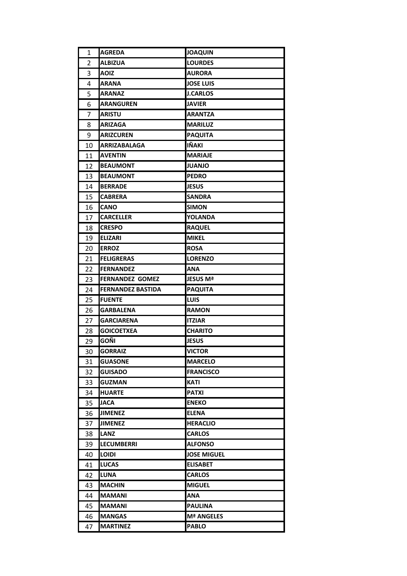| 1        | <b>AGREDA</b>                 | <b>JOAQUIN</b>                  |
|----------|-------------------------------|---------------------------------|
| 2        | <b>ALBIZUA</b>                | <b>LOURDES</b>                  |
| 3        | <b>AOIZ</b>                   | <b>AURORA</b>                   |
| 4        | <b>ARANA</b>                  | <b>JOSE LUIS</b>                |
| 5        | <b>ARANAZ</b>                 | <b>J.CARLOS</b>                 |
| 6        | <b>ARANGUREN</b>              | <b>JAVIER</b>                   |
| 7        | <b>ARISTU</b>                 | ARANTZA                         |
| 8        | <b>ARIZAGA</b>                | <b>MARILUZ</b>                  |
| 9        | <b>ARIZCUREN</b>              | <b>PAQUITA</b>                  |
| 10       | <b>ARRIZABALAGA</b>           | IÑAKI                           |
| 11       | <b>AVENTIN</b>                | <b>MARIAJE</b>                  |
| 12       | <b>BEAUMONT</b>               | <b>JUANJO</b>                   |
| 13       | <b>BEAUMONT</b>               | <b>PEDRO</b>                    |
| 14       | <b>BERRADE</b>                | <b>JESUS</b>                    |
| 15       | <b>CABRERA</b>                | <b>SANDRA</b>                   |
| 16       | <b>CANO</b>                   | <b>SIMON</b>                    |
| 17       | <b>CARCELLER</b>              | <b>YOLANDA</b>                  |
| 18       | <b>CRESPO</b>                 | <b>RAQUEL</b>                   |
| 19       | <b>ELIZARI</b>                | <b>MIKEL</b>                    |
| 20       | <b>ERROZ</b>                  | <b>ROSA</b>                     |
| 21       | <b>FELIGRERAS</b>             | <b>LORENZO</b>                  |
| 22       | <b>FERNANDEZ</b>              | ANA                             |
| 23       | <b>FERNANDEZ GOMEZ</b>        | JESUS Mª                        |
| 24       | <b>FERNANDEZ BASTIDA</b>      | <b>PAQUITA</b>                  |
| 25       | <b>FUENTE</b>                 | <b>LUIS</b>                     |
| 26       | <b>GARBALENA</b>              | <b>RAMON</b>                    |
| 27       | <b>GARCIARENA</b>             | <b>ITZIAR</b>                   |
| 28       | <b>GOICOETXEA</b>             | <b>CHARITO</b>                  |
| 29       | GOÑI                          | <b>JESUS</b>                    |
| 30       | <b>GORRAIZ</b>                | <b>VICTOR</b>                   |
| 31       | <b>GUASONE</b>                | <b>MARCELO</b>                  |
| 32       | <b>GUISADO</b>                | <b>FRANCISCO</b>                |
| 33       | <b>GUZMAN</b>                 | <b>KATI</b>                     |
| 34       | <b>HUARTE</b>                 | <b>PATXI</b>                    |
| 35       | <b>JACA</b><br><b>JIMENEZ</b> | <b>ENEKO</b>                    |
| 36<br>37 | <b>JIMENEZ</b>                | <b>ELENA</b><br><b>HERACLIO</b> |
| 38       | <b>LANZ</b>                   | <b>CARLOS</b>                   |
| 39       | <b>LECUMBERRI</b>             | <b>ALFONSO</b>                  |
| 40       | LOIDI                         | <b>JOSE MIGUEL</b>              |
| 41       | <b>LUCAS</b>                  | <b>ELISABET</b>                 |
| 42       | <b>LUNA</b>                   | <b>CARLOS</b>                   |
| 43       | <b>MACHIN</b>                 | <b>MIGUEL</b>                   |
| 44       | <b>MAMANI</b>                 | ANA                             |
| 45       | <b>MAMANI</b>                 | <b>PAULINA</b>                  |
| 46       | <b>MANGAS</b>                 | <b>Mª ANGELES</b>               |
| 47       | <b>MARTINEZ</b>               | <b>PABLO</b>                    |